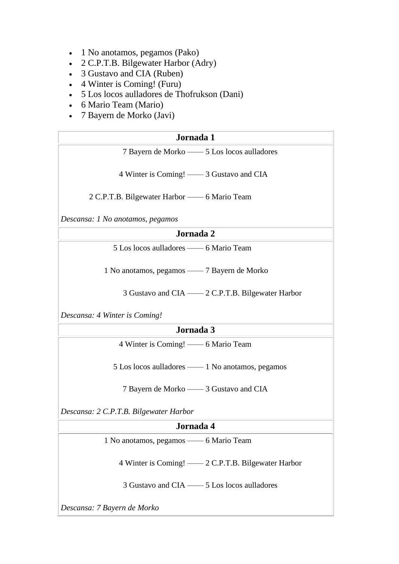- 1 No anotamos, pegamos (Pako)
- 2 C.P.T.B. Bilgewater Harbor (Adry)
- 3 Gustavo and CIA (Ruben)
- 4 Winter is Coming! (Furu)
- 5 Los locos aulladores de Thofrukson (Dani)
- 6 Mario Team (Mario)
- 7 Bayern de Morko (Javi)

| Jornada 1                                          |
|----------------------------------------------------|
| 7 Bayern de Morko - 5 Los locos aulladores         |
|                                                    |
| 4 Winter is Coming! — 3 Gustavo and CIA            |
|                                                    |
| 2 C.P.T.B. Bilgewater Harbor -6 Mario Team         |
| Descansa: 1 No anotamos, pegamos                   |
|                                                    |
| Jornada 2                                          |
| 5 Los locos aulladores -6 Mario Team               |
|                                                    |
| 1 No anotamos, pegamos — 7 Bayern de Morko         |
|                                                    |
| 3 Gustavo and CIA — 2 C.P.T.B. Bilgewater Harbor   |
|                                                    |
| Descansa: 4 Winter is Coming!                      |
| Jornada 3                                          |
| 4 Winter is Coming! — 6 Mario Team                 |
|                                                    |
| 5 Los locos aulladores — 1 No anotamos, pegamos    |
|                                                    |
| 7 Bayern de Morko — 3 Gustavo and CIA              |
|                                                    |
| Descansa: 2 C.P.T.B. Bilgewater Harbor             |
| Jornada 4                                          |
| 1 No anotamos, pegamos -6 Mario Team               |
|                                                    |
| 4 Winter is Coming! — 2 C.P.T.B. Bilgewater Harbor |
|                                                    |
| 3 Gustavo and CIA - 5 Los locos aulladores         |
|                                                    |

*Descansa: 7 Bayern de Morko*